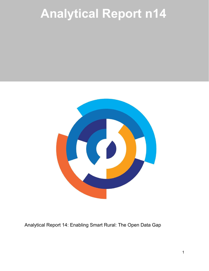# **Analytical Report n14**



Analytical Report 14: Enabling Smart Rural: The Open Data Gap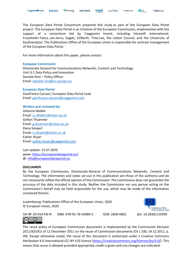The European Data Portal Consortium prepared this study as part of the European Data Portal project. The European Data Portal is an initiative of the European Commission, implemented with the support of a consortium led by Capgemini Invent, including Intrasoft International, Fraunhofer Fokus, con.terra, Sogeti, 52North, Time.Lex, the Lisbon Council, and the University of Southampton. The Publications Office of the European Union is responsible for contract management of the European Data Portal.

For more information about this paper, please contact:

#### **European Commission**

Directorate General for Communications Networks, Content and Technology Unit G.1 Data Policy and Innovation Daniele Rizzi - Policy Officer Email: [daniele.rizzi@ec.europa.eu](mailto:daniele.rizzi@ec.europa.eu) 

#### **European Data Portal**

Gianfranco Cecconi, European Data Portal Lead Email: [gianfranco.cecconi@capgemini.com](mailto:gianfranco.cecconi@capgemini.com) 

#### **Written and reviewed by:**

Johanna Walker Email: [j.c.Walker@soton.ac.uk](mailto:j.c.Walker@soton.ac.uk) Gefion Thuermer Email: [g.thuermer@soton.ac.uk](mailto:g.thuermer@soton.ac.uk) Elena Simperl Email: [e.simperl@soton.ac.uk](mailto:e.simperl@soton.ac.uk) Esther Huyer Email: [esther.huyer@capgemini.com](mailto:esther.huyer@capgemini.com)

Last update: 15.07.2020 www:<https://europeandataportal.eu/> @: [info@europeandataportal.eu](mailto:info@europeandataportal.eu) 

#### **DISCLAIMER**

By the European Commission, Directorate-General of Communications Networks, Content and Technology. The information and views set out in this publication are those of the author(s) and do not necessarily reflect the official opinion of the Commission. The Commission does not guarantee the accuracy of the data included in this study. Neither the Commission nor any person acting on the Commission's behalf may be held responsible for the use, which may be made of the information contained therein.

Luxembourg: Publications Office of the European Union, 2020 © European Union, 2020



 $\left(\mathrm{cc}\right)$  $\bigcirc$ 

The reuse policy of European Commission documents is implemented by the Commission Decision 2011/833/EU of 12 December 2011 on the reuse of Commission documents (OJ L 330, 14.12.2011, p. 39). Except otherwise noted, the reuse of this document is authorised under a Creative Commons Attribution 4.0 International (CC-BY 4.0) licence [\(https://creativecommons.org/licenses/by/4.0/\)](https://creativecommons.org/licenses/by/4.0/). This means that reuse is allowed provided appropriate credit is given and any changes are indicated.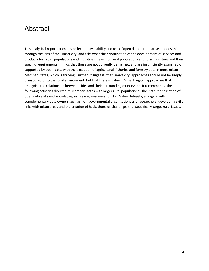# Abstract

This analytical report examines collection, availability and use of open data in rural areas. It does this through the lens of the 'smart city' and asks what the prioritisation of the development of services and products for urban populations and industries means for rural populations and rural industries and their specific requirements. It finds that these are not currently being met, and are insufficiently examined or supported by open data, with the exception of agricultural, fisheries and forestry data in more urban Member States, which is thriving. Further, it suggests that 'smart city' approaches should not be simply transposed onto the rural environment, but that there is value in 'smart region' approaches that recognise the relationship between cities and their surrounding countryside. It recommends the following activities directed at Member States with larger rural populations: the institutionalisation of open data skills and knowledge; increasing awareness of High Value Datasets; engaging with complementary data owners such as non-governmental organisations and researchers; developing skills links with urban areas and the creation of hackathons or challenges that specifically target rural issues.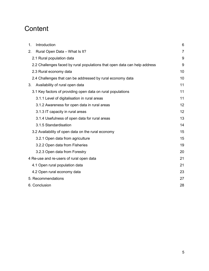# **Content**

| Introduction<br>1.                                                        | 6  |  |
|---------------------------------------------------------------------------|----|--|
| Rural Open Data - What Is It?<br>2.                                       | 7  |  |
| 2.1 Rural population data                                                 | 9  |  |
| 2.2 Challenges faced by rural populations that open data can help address |    |  |
| 2.3 Rural economy data                                                    |    |  |
| 2.4 Challenges that can be addressed by rural economy data                | 10 |  |
| Availability of rural open data<br>3.                                     | 11 |  |
| 3.1 Key factors of providing open data on rural populations               | 11 |  |
| 3.1.1 Level of digitalisation in rural areas                              | 11 |  |
| 3.1.2 Awareness for open data in rural areas                              | 12 |  |
| 3.1.3 IT capacity in rural areas                                          | 12 |  |
| 3.1.4 Usefulness of open data for rural areas                             | 13 |  |
| 3.1.5 Standardisation                                                     | 14 |  |
| 3.2 Availability of open data on the rural economy                        | 15 |  |
| 3.2.1 Open data from agriculture                                          | 15 |  |
| 3.2.2 Open data from Fisheries                                            | 19 |  |
| 3.2.3 Open data from Forestry                                             | 20 |  |
| 4 Re-use and re-users of rural open data                                  |    |  |
| 4.1 Open rural population data                                            | 21 |  |
| 4.2 Open rural economy data                                               | 23 |  |
| 5. Recommendations                                                        | 27 |  |
| 6. Conclusion                                                             |    |  |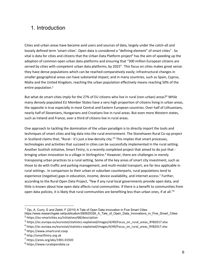# <span id="page-4-0"></span>1. Introduction

Cities and urban areas have become avid users and sources of data, largely under the catch-all and loosely defined term 'smart cities'. Open data is considered a "defining element" of smart cities<sup>1</sup>. So vital is data for cities and citizens that the Urban Data Platform project<sup>2</sup> has the aim of speeding up the adoption of common open urban data platforms and ensuring that "300 million European citizens are served by cities with competent urban data platforms, by 2025". This focus on cities makes great sense: they have dense populations which can be reached comparatively easily; infrastructural changes in smaller geographical areas can have substantial impact; and in many countries, such as Spain, Cyprus, Malta and the United Kingdom, reaching the urban population effectively means reaching 50% of the entire population.3

But what do smart cities imply for the 27% of EU citizens who live in rural (non-urban) areas?<sup>4</sup> While many densely populated EU Member States have a very high proportion of citizens living in urban areas, the opposite is true especially in most Central and Eastern European countries. Over half of Lithuanians, nearly half of Slovenians, Hungarians and Croatians live in rural areas. But even more Western states, such as Ireland and France, over a third of citizens live in rural areas.

One approach to tackling the domination of the urban paradigm is to directly import the tools and techniques of smart cities and big data into the rural environment. The Stonehaven Rural Co-op project in Scotland claims that, "Rural - it's just a low-density city."<sup>5</sup> This implies that smart processes, technologies and activities that succeed in cities can be successfully implemented in the rural setting. Another Scottish initiative, Smart Fintry, is a recently completed project that aimed to do just that bringing urban innovation to a village in Stirlingshire.<sup>6</sup> However, there are challenges in merely transposing urban practices to a rural setting. Some of the key areas of smart city investment, such as those to do with traffic and parking management, and multi-modal transport, are far less applicable in rural settings. In comparison to their urban or suburban counterparts, rural populations tend to experience (negative) gaps in education, income, device availability, and internet access.<sup>7</sup> Further, according to the Rural Open Data Project, "few if any rural local governments provide open data, and little is known about how open data affects rural communities. If there is a benefit to communities from open data policies, it is likely that rural communities are benefiting less than urban ones, if at all."<sup>8</sup>

 $1$  Oio, A, Curry, E and Zeleti, F (2015) A Tale of Open Data Innovation in Five Smart Cities

https://www.researchgate.net/publication/280625326\_A\_Tale\_of\_Open\_Data\_Innovations\_in\_Five\_Smart\_Cities <sup>2</sup> https://eu-smartcities.eu/initiatives/68/description

 $3$  https://ec.europa.eu/eurostat/statistics-explained/images/4/49/Focus\_on\_rural\_areas\_RYB2017.xlsx

<sup>4</sup> https://ec.europa.eu/eurostat/statistics-explained/images/4/49/Focus\_on\_rural\_areas\_RYB2017.xlsx

<sup>5</sup> https://www.smartrural.coop

<sup>6</sup> http://smartfintry.org.uk

<sup>7</sup> https://arxiv.org/abs/1901.01920

<sup>8</sup> https://www.ruralopendata.ca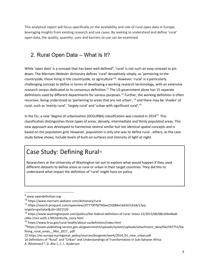This analytical report will focus specifically on the availability and role of rural open data in Europe, leveraging insights from existing research and use cases. By seeking to understand and define 'rural' open data, the quality, quantity, uses and barriers to use can be examined.

# <span id="page-5-0"></span>2. Rural Open Data – What Is It?

While 'open data' is a concept that has been well-defined<sup>9</sup>, 'rural' is not such an easy concept to pin down. The Merriam-Webster dictionary defines 'rural' deceptively simply, as 'pertaining to the countryside, those living in the countryside, or agriculture<sup>'10</sup>. However, 'rural' is a particularly challenging concept to define in terms of developing a working research terminology, with an extensive research corpus dedicated to its consensus definition.<sup>11</sup> The US government alone has 15 separate definitions used by different departments for various purposes.<sup>12</sup> Further, the working definition is often recursive, being understood as 'pertaining to areas that are not urban', <sup>13</sup> and there may be 'shades' of rural, such as 'mainly rural', 'largely rural' and 'urban with significant rural'.<sup>14</sup>

In the EU, a new 'degree of urbanisation (DEGURBA) classification was created in 2014<sup>15</sup>. This classification distinguishes three types of areas: densely, intermediate and thinly populated areas. This new approach was developed to harmonise several similar but not identical spatial concepts and is based on the population grid. However, population is only one way to define rural - others, as the case study below shows, include levels of built-on surfaces and intensity of light at night.

# Case Study: Defining Rural<sup>16</sup>

Researchers at the University of Washington set out to explore what would happen if they used different datasets to define areas as rural or urban in their target countries. They did this to understand what impact the definition of 'rural' might have on policy.

15 https://ec.europa.eu/regional\_policy/sources/docgener/work/2014\_01\_new\_urban.pdf

 <sup>9</sup> www.opendefinition.org

<sup>10</sup> https://www.merriam-webster.com/dictionary/rural

<sup>11</sup> https://search.proquest.com/openview/2f7779f7bf760ae235084e1bd167c618/1?pq-

origsite=gscholar&cbl=1821520

<sup>12</sup> https://www.washingtonpost.com/politics/the-federal-definition-of-rural--times-15/2013/06/08/a39e46a8 cd4a-11e2-ac03-178510c9cc0a\_story.html

<sup>13</sup> https://www.hrsa.gov/rural-health/about-us/definition/index.html

<sup>&</sup>lt;sup>14</sup>https://assets.publishing.service.gov.uk/government/uploads/system/uploads/attachment\_data/file/597751/De fining rural areas Mar 2017 .pdf

<sup>16</sup> Definitions of "Rural" and "Urban" and Understandings of Transformation in Sub-Saharan Africa

A. Wineman1\*, D. Alia 1, C. L. Anderson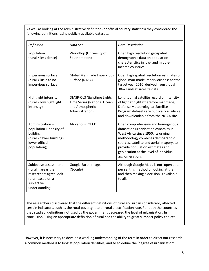As well as looking at the administrative definition (or official country statistics) they considered the following definitions, using publicly available datasets:

| Definition                                                                                                                   | Data Set                                                                                              | <b>Data Description</b>                                                                                                                                                                                                                                                                           |
|------------------------------------------------------------------------------------------------------------------------------|-------------------------------------------------------------------------------------------------------|---------------------------------------------------------------------------------------------------------------------------------------------------------------------------------------------------------------------------------------------------------------------------------------------------|
| Population<br>(rural = less dense)                                                                                           | WorldPop (University of<br>Southampton)                                                               | Open high resolution geospatial<br>demographic data on population<br>characteristics in low- and middle-<br>income countries.                                                                                                                                                                     |
| Impervious surface<br>(rural = little to no<br>impervious surface)                                                           | Global Manmade Impervious<br>Surface (NASA)                                                           | Open high spatial resolution estimates of<br>global man-made imperviousness for the<br>target year 2010, derived from global<br>30m Landsat satellite data                                                                                                                                        |
| Nightlight intensity<br>(rural = low nightlight<br>intensity)                                                                | <b>DMSP-OLS Nighttime Lights</b><br>Time Series (National Ocean<br>and Atmospheric<br>Administration) | Longitudinal satellite record of intensity<br>of light at night (therefore manmade).<br>Defense Meteorological Satellite<br>Program datasets are publically available<br>and downloadable from the NOAA site.                                                                                     |
| Administration +<br>population + density of<br>building<br>(rural = fewer buildings,<br>lower official<br>population))       | Africapolis (OECD)                                                                                    | Open comprehensive and homogenous<br>dataset on urbanisation dynamics in<br>West Africa since 1950. Its original<br>methodology combines demographic<br>sources, satellite and aerial imagery, to<br>provide population estimates and<br>geolocation at the level of individual<br>agglomerations |
| Subjective assessment<br>$(rural = areas the$<br>researchers agree look<br>rural, based on a<br>subjective<br>understanding) | Google Earth Images<br>(Google)                                                                       | Although Google Maps is not 'open data'<br>per se, this method of looking at them<br>and then making a decision is available<br>to all.                                                                                                                                                           |

The researchers discovered that the different definitions of rural and urban considerably affected certain indicators, such as the rural poverty rate or rural electrification rate. For both the countries they studied, definitions not used by the government decreased the level of urbanisation. In conclusion, using an appropriate definition of rural had the ability to greatly impact policy choices.

However, it is necessary to develop a working understanding of the term in order to direct our research. A common method is to look at population densities, and to so define the 'degree of urbanisation'.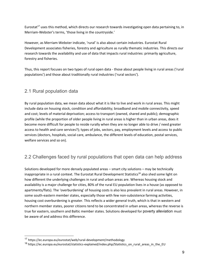Eurostat<sup>17</sup> uses this method, which directs our research towards investigating open data pertaining to, in Merriam-Webster's terms, 'those living in the countryside.'

However, as Merriam-Webster indicate, 'rural' is also about certain industries. Eurostat Rural Development associates fisheries, forestry and agriculture as rurally thematic industries. This directs our research towards the availability and use of data that impacts rural industries: primarily agriculture, forestry and fisheries.

Thus, this report focuses on two types of rural open data - those about people living in rural areas ('rural populations') and those about traditionally rural industries ('rural sectors').

## <span id="page-7-0"></span>2.1 Rural population data

By rural population data, we mean data about what it is like to live and work in rural areas. This might include data on housing stock, condition and affordability; broadband and mobile connectivity, speed and cost; levels of material deprivation; access to transport (owned, shared and public); demographic profile (while the proportion of older people living in rural areas is higher than in urban areas, does it become more difficult for people to reside rurally when they are no longer able to drive / need greater access to health and care services?); types of jobs, sectors, pay, employment levels and access to public services (doctors, hospitals, social care, ambulance, the different levels of education, postal services, welfare services and so on).

## <span id="page-7-1"></span>2.2 Challenges faced by rural populations that open data can help address

Solutions developed for more densely populated areas – smart city solutions – may be technically inappropriate in a rural context. The Eurostat Rural Development Statistics<sup>18</sup> also shed some light on how different the underlying challenges in rural and urban areas are. Whereas housing stock and availability is a major challenge for cities, 80% of the rural EU population lives in a house (as opposed to apartments/flats). The 'overburdening' of housing costs is also less prevalent in rural areas. However, in some south-eastern member states, especially those with few non-subsistence farming activities, housing cost overburdening is greater. This reflects a wider general truth, which is that in western and northern member states, poorer citizens tend to be concentrated in urban areas, whereas the reverse is true for eastern, southern and Baltic member states. Solutions developed for poverty alleviation must be aware of and address this difference.

 <sup>17</sup> https://ec.europa.eu/eurostat/web/rural-development/methodology

<sup>18</sup> https://ec.europa.eu/eurostat/statistics-explained/index.php/Statistics\_on\_rural\_areas\_in\_the\_EU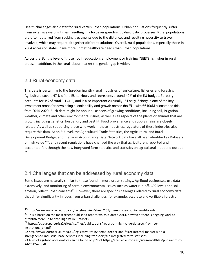Health challenges also differ for rural versus urban populations. Urban populations frequently suffer from extensive waiting times, resulting in a focus on speeding up diagnostic processes. Rural populations are often deterred from seeking treatments due to the distances and resulting necessity to travel involved, which may require altogether different solutions. Overall, rural populations, especially those in 2004 accession states, have more unmet healthcare needs than urban populations.

Across the EU, the level of those not in education, employment or training (NEETS) is higher in rural areas. In addition, In the rural labour market the gender gap is wider.

## <span id="page-8-0"></span>2.3 Rural economy data

This data is pertaining to the (predominantly) rural industries of agriculture, fisheries and forestry. Agriculture covers 47 % of the EU territory and represents around 40% of the EU budget. Forestry accounts for 1% of total EU GDP, and is also important culturally.<sup>19</sup> Lastly, fishery is one of the key investment areas for developing sustainability and growth across the EU, with  $€6400M$  allocated to this from 2014-2020. Such data might be about all aspects of growing conditions, including soil, irrigation, weather, climate and other environmental issues, as well as all aspects of the plants or animals that are grown, including genetics, husbandry and best fit. Food provenance and supply chains are closely related. As well as supporting those who work in these industries, regulators of these industries also require this data. At an EU level, the Agricultural Trade Statistics, the Agricultural and Rural Development Budget and the Farm Accountancy Data Network data have all been identified as Datasets of high value<sup>2021</sup>, and recent regulations have changed the way that agriculture is reported and accounted for, through the new integrated farm statistics and statistics on agricultural input and output.  $22$ 

## <span id="page-8-1"></span>2.4 Challenges that can be addressed by rural economy data

Some issues are naturally similar to those found in more urban settings. Agrifood businesses, use data extensively, and monitoring of certain environmental issues such as water run-off, C02 levels and soil erosion, reflect urban concerns<sup>23</sup>. However, there are specific challenges related to rural economy data that differ significantly in focus from urban challenges, for example, accurate and verifiable forestry

 <sup>19</sup> http://www.europarl.europa.eu/factsheets/en/sheet/105/the-european-union-and-forests

<sup>&</sup>lt;sup>20</sup> This is based on the most recent published report, which is dated 2014, however, there is ongoing work to establish more up to date High Value Datasets.

<sup>&</sup>lt;sup>21</sup> https://ec.europa.eu/isa2/sites/isa/files/publications/report-on-high-value-datasets-from-euinstitutions\_en.pdf

<sup>22</sup> http://www.europarl.europa.eu/legislative-train/theme-deeper-and-fairer-internal-market-with-astrengthened-industrial-base-services-including-transport/file-integrated-farm-statistics

<sup>23</sup> A list of agrifood accelerators can be found on p29 of https://enrd.ec.europa.eu/sites/enrd/files/publi-enrd-rr-24-2017-en.pdf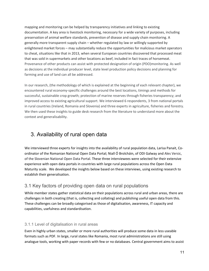mapping and monitoring can be helped by transparency initiatives and linking to existing documentation. A key area is livestock monitoring, necessary for a wide variety of purposes, including preservation of animal welfare standards, prevention of disease and supply chain monitoring. A generally more transparent supply chain – whether regulated by law or willingly supported by enlightened market forces – may substantially reduce the opportunities for malicious market operators to cheat, situations like that in 2013, when several European countries discovered that processed meat that was sold in supermarkets and other locations as beef, included in fact traces of horsemeat. Provenance of other products can assist with protected designation of origin (PDO)monitoring. As well as decisions at the individual producer level, state level production policy decisions and planning for farming and use of land can all be addressed.

In our research, (the methodology of which is explained at the beginning of each relevant chapter), we encountered rural economy-specific challenges around the best locations, timings and methods for successful, sustainable crop growth; protection of marine reserves through fisheries transparency; and improved access to existing agricultural support. We interviewed 6 respondents, 3 from national portals in rural countries (Ireland, Romania and Slovenia) and three experts in agriculture, fisheries and forestry. We then used these insights to guide desk research from the literature to understand more about the context and generalisability.

# <span id="page-9-0"></span>3. Availability of rural open data

We interviewed three experts for insights into the availability of rural population data, Larisa Panait, Coordinator of the Romanian National Open Data Portal; Niall Ó Brolcháin, of ODI Galway and Ales Versic, of the Slovenian National Open Data Portal. These three interviewees were selected for their extensive experience with open data portals in countries with large rural populations across the Open Data Maturity scale. We developed the insights below based on these interviews, using existing research to establish their generalisation.

## <span id="page-9-1"></span>3.1 Key factors of providing open data on rural populations

While member states gather statistical data on their populations across rural and urban areas, there are challenges in both creating (that is, collecting and collating) and publishing useful open data from this. These challenges can be broadly categorised as those of digitalisation, awareness, IT capacity and capabilities, usefulness and standardisation.

## <span id="page-9-2"></span>3.1.1 Level of digitalisation in rural areas

Even in highly urban states, smaller or more rural authorities will produce some data in less useable formats such as PDF. In large, rural states like Romania, most rural administrations are still using analogue tools, working with paper records with few or no databases. Central government aims to assist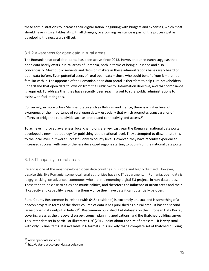these administrations to increase their digitalisation, beginning with budgets and expenses, which most should have in Excel tables. As with all changes, overcoming resistance is part of the process just as developing the necessary skill set.

#### <span id="page-10-0"></span>3.1.2 Awareness for open data in rural areas

The Romanian national data portal has been active since 2013. However, our research suggests that open data barely exists in rural areas of Romania, both in terms of being published and also conceptually. Most public servants and decision makers in these administrations have rarely heard of open data before. Even potential users of rural open data  $-$  those who could benefit from it  $-$  are not familiar with it. The approach of the Romanian open data portal is therefore to help rural stakeholders understand that open data follows on from the Public Sector Information directive, and that compliance is required. To address this, they have recently been reaching out to rural public administrations to assist with facilitating this.

Conversely, in more urban Member States such as Belgium and France, there is a higher level of awareness of the importance of rural open data – especially that which promotes transparency of efforts to bridge the rural divide such as broadband connectivity and access.<sup>24</sup>

To achieve improved awareness, local champions are key. Last year the Romanian national data portal developed a new methodology for publishing at the national level. They attempted to disseminate this to the local level, but were successful only to county level. However, they have recently experienced increased success, with one of the less developed regions starting to publish on the national data portal.

## <span id="page-10-1"></span>3.1.3 IT capacity in rural areas

Ireland is one of the most developed open data countries in Europe and highly digitised. However, despite this, like Romania, some local rural authorities have no IT department. In Romania, open data is 'piggy-backing' on advanced communes who are implementing digital EU projects in non-data areas. These tend to be close to cities and municipalities, and therefore the influence of urban areas and their IT capacity and capability is reaching them  $-$  once they have data it can potentially be open.

Rural County Roscommon in Ireland (with 64.5k residents) is extremely unusual and is something of a beacon project in terms of the sheer volume of data it has published as a rural area - it has the second largest open data output in Ireland<sup>25</sup>. Roscommon published 124 datasets on the European Data Portal, covering areas as the graveyard survey, council planning applications, and the thatched building survey. This latter dataset in particular illustrates Dix' (2014) point about the size of datasets - it is very small, with only 37 line items. It is available in 6 formats. It is unlikely that a complete set of thatched building

 <sup>24</sup> www.opendatasoft.com

<sup>25</sup> http://data-roscoco.opendata.arcgis.com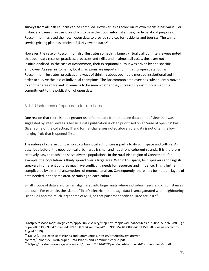surveys from all Irish councils can be compiled. However, as a record on its own merits it has value. For instance, citizens may use it on which to base their own informal survey, for hyper-local purposes. Roscommon has used their own open data to provide services for residents and tourists. The winter service gritting plan has received 2,514 views to date.<sup>26</sup>

However, the case of Roscommon also illustrates something larger: virtually all our interviewees noted that open data rests on practices, processes and skills, and in almost all cases, these are not institutionalised. In the case of Roscommon, their exceptional output was driven by one specific employee. As seen in Romania, local champions are important for initiating open data; but as Roscommon illustrates, practices and ways of thinking about open data must be institutionalised in order to survive the loss of individual champions. The Roscommon employee has subsequently moved to another area of Ireland. It remains to be seen whether they successfully institutionalised this commitment to the publication of open data.

### <span id="page-11-0"></span>3.1.4 Usefulness of open data for rural areas

One reason that there is not a greater use of rural data from the open data point of view that was suggested by interviewees is because data publication is often prioritised on an 'ease of opening' basis. Given some of the collection, IT and format challenges noted above, rural data is not often the low hanging fruit that is opened first.

The nature of rural in comparison to urban local authorities is partly to do with space and culture. As described before, the geographical urban area is small and has strong coherent strands. It is therefore relatively easy to reach and serve diverse populations. In the rural Irish region of Connemara, for example, the population is thinly spread over a large area. Within this space, Irish speakers and English speakers in different cultures may have conflicting needs for resources and influence. This is further complicated by external assumptions of monoculturalism. Consequently, there may be multiple layers of data needed in the same area, pertaining to each culture.

Small groups of data are often amalgamated into larger units where individual needs and circumstances are lost<sup>27</sup>. For example, the island of Tiree's electric meter usage data is amalgamated with neighbouring island Coll and the much larger area of Mull, so that patterns specific to Tiree are lost. $^{28}$ 

 $\overline{a}$ 

<sup>26</sup>http://roscoco.maps.arcgis.com/apps/PublicGallery/map.html?appid=ad0e44aec4ea471b905c1f20f2697b85&gr oup=8e883303099547bdae6ed7ef920007eb&webmap=01082f0f5a52403c888e4dff115d5709 (views correct to August 2019)

 $27$  Dix, A (2014) Open Data Islands and Communities, https://tireetechwave.org/wpcontent/uploads/2014/07/Open-Data-Islands-and-Communities-v3b.pdf

<sup>28</sup> https://tireetechwave.org/wp-content/uploads/2014/07/Open-Data-Islands-and-Communities-v3b.pdf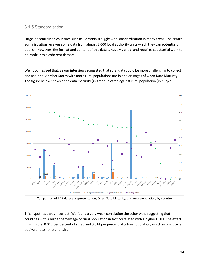#### <span id="page-12-0"></span>3.1.5 Standardisation

Large, decentralised countries such as Romania struggle with standardisation in many areas. The central administration receives some data from almost 3,000 local authority units which they can potentially publish. However, the format and content of this data is hugely varied, and requires substantial work to be made into a coherent dataset.

We hypothesised that, as our interviews suggested that rural data could be more challenging to collect and use, the Member States with more rural populations are in earlier stages of Open Data Maturity. The figure below shows open data maturity (in green) plotted against rural population (in purple).



Comparison of EDP dataset representation, Open Data Maturity, and rural population, by country

This hypothesis was incorrect. We found a very weak correlation the other way, suggesting that countries with a higher percentage of rural population in fact correlated with a higher ODM. The effect is miniscule: 0.017 per percent of rural, and 0.014 per percent of urban population, which in practice is equivalent to no relationship.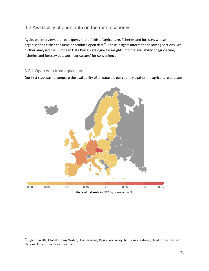## <span id="page-13-0"></span>3.2 Availability of open data on the rural economy

Again, we interviewed three experts in the fields of agriculture, fisheries and forestry, whose organisations either consume or produce open data<sup>29</sup>. These insights inform the following sections. We further analysed the European Data Portal catalogue for insights into the availability of agriculture, fisheries and forestry datasets ('agriculture' for convenience).

### <span id="page-13-1"></span>3.2.1 Open data from agriculture

Our first step was to compare the availability of all datasets per country against the agriculture datasets.



<sup>&</sup>lt;sup>29</sup> Tyler Clavelle, Global Fishing Watch; Jos Berkvens, Regio Foodvalley, NL; Jonas Fridman, Head of the Swedish National Forest Inventory (by email).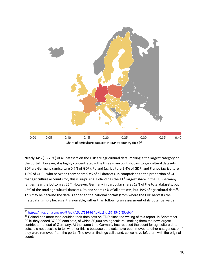

Nearly 14% (13.75%) of all datasets on the EDP are agricultural data, making it the largest category on the portal. However, it is highly concentrated – the three main contributors to agricultural datasets in EDP are Germany (agriculture 0.7% of GDP), Poland (agriculture 2.4% of GDP) and France (agriculture 1.6% of GDP), who between them share 93% of all datasets. In comparison to the proportion of GDP that agriculture accounts for, this is surprising: Poland has the  $11<sup>th</sup>$  largest share in the EU, Germany ranges near the bottom as 26<sup>th</sup>. However, Germany in particular shares 18% of the total datasets, but 45% of the total agricultural datasets. Poland shares 4% of all datasets, but 19% of agricultural data<sup>31</sup>. This may be because the data is added to the national portals (from where the EDP harvests the metadata) simply because it is available, rather than following an assessment of its potential value.

 <sup>30</sup> [https://infogram.com/app/#/edit/c5dc7586-b641-4c13-bc57-9540f65cebb4](https://infogram.com/app/%23/edit/c5dc7586-b641-4c13-bc57-9540f65cebb4)

 $31$  Poland has more than doubled their data sets on EDP since the writing of this report. In September 2019 they added 37,000 data sets, of which 30,000 are agricultural, making them the new largest contributor. ahead of Germany. At the same time Germany has reduced the count for agriculture data sets. It is not possible to tell whether this is because data sets have been moved to other categories, or if they were removed from the portal. The overall findings still stand, so we have left them with the original counts.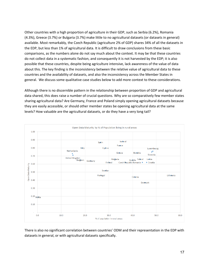Other countries with a high proportion of agriculture in their GDP, such as Serbia (6.2%), Romania (4.3%), Greece (3.7%) or Bulgaria (3.7%) make little to no agricultural datasets (or datasets in general) available. Most remarkably, the Czech Republic (agriculture 2% of GDP) shares 34% of all the datasets in the EDP, but less than 1% of agricultural data. It is difficult to draw conclusions from these basic comparisons, as the numbers alone do not say much about the context. It may be that these countries do not collect data in a systematic fashion, and consequently it is not harvested by the EDP; it is also possible that these countries, despite being agriculture intensive, lack awareness of the value of data about this. The key finding is the inconsistency between the relative value of agricultural data to these countries and the availability of datasets, and also the inconsistency across the Member States in general. We discuss some qualitative case studies below to add more context to these considerations.

Although there is no discernible pattern in the relationship between proportion of GDP and agricultural data shared, this does raise a number of crucial questions. Why are so comparatively few member states sharing agricultural data? Are Germany, France and Poland simply opening agricultural datasets because they are easily accessible, or should other member states be opening agricultural data at the same levels? How valuable are the agricultural datasets, or do they have a very long tail?



There is also no significant correlation between countries' ODM and their representation in the EDP with datasets in general, or with agricultural datasets specifically.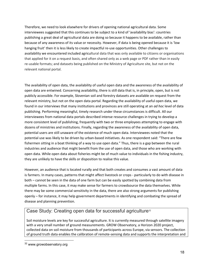Therefore, we need to look elsewhere for drivers of opening national agricultural data. Some interviewees suggested that this continues to be subject to a kind of 'availability bias': countries publishing a great deal of agricultural data are doing so because it happens to be available, rather than because of any awareness of its value or necessity. However, if data is being opened because it is 'low hanging fruit' then it is less likely to create impactful re-use opportunities. Other challenges to availability we encountered included agricultural data that was only available to citizens or organisations that applied for it on a request basis, and often shared only as a web page or PDF rather than in easily re-usable formats; and datasets being published on the Ministry of Agriculture site, but not on the relevant national portal.

The availability of open data, the availability of useful open data and the awareness of the availability of open data are entwined. Concerning availability, there is still data that is, in principle, open, but is not publicly accessible. For example, Slovenian soil and forestry datasets are available on request from the relevant ministry, but not on the open data portal. Regarding the availability of useful open data, we found in our interviews that many institutions and provinces are still operating at an *ad hoc* level of data publishing. Performing meaningful, timely research under these circumstances is difficult. All our interviewees from national data portals described intense resource challenges in trying to develop a more consistent level of publishing, frequently with two or three employees attempting to engage with dozens of ministries and institutions. Finally, regarding the awareness of the availability of open data, potential users are still unaware of the existence of much open data. Interviewees noted that the potential use was likely to be driven by urban-based initiatives. As one respondent said: "There are few fishermen sitting in a boat thinking of a way to use open data." Thus, there is a gap between the rural industries and audience that might benefit from the use of open data, and those who are working with open data. While open data about fisheries might be of much value to individuals in the fishing industry, they are unlikely to have the skills or disposition to realise this value.

However, an audience that is located rurally and that both creates and consumes a vast amount of data is farmers. In many cases, patterns that might affect livestock or crops - particularly to do with disease in both – cannot be seen in the data of one farm but can be easily spotted by combining data from multiple farms. In this case, it may make sense for farmers to crowdsource the data themselves. While there may be some commercial sensitivity in the data, there are also strong arguments for publishing openly  $-$  for instance, it may help government departments in identifying and combating the spread of disease and planning prevention.

## Case Study: Creating open data for successful agriculture<sup>32</sup>

Soil moisture levels are key for successful agriculture. It is currently measured through satellite imagery with a very small number of ground measurements. GROW Observatory, a Horizon 2020 project, collected data on soil moisture from thousands of participants across Europe, via sensors. The collection of ground truth data enables the calibration of remote-sensing data and supports the interpretation and

<sup>&</sup>lt;sup>32</sup> www.growobservatory.org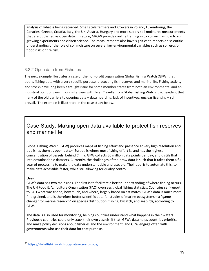analysis of what is being recorded. Small scale farmers and growers in Poland, Luxembourg, the Canaries, Greece, Croatia, Italy, the UK, Austria, Hungary and more supply soil moistures measurements that are published as open data. In return, GROW provides online training in topics such as how to run growing experiments and citizen science. The measurements also have significant impacts on scientific understanding of the role of soil moisture on several key environmental variables such as soil erosion, flood risk, or fire risk.

## <span id="page-17-0"></span>3.2.2 Open data from Fisheries

The next example illustrates a case of the non-profit organisation Global Fishing Watch (GFW) that opens fishing data with a very specific purpose, protecting fish reserves and marine life. Fishing activity and stocks have long been a fraught issue for some member states from both an environmental and an industrial point of view. In our interview with Tyler Clavelle from Global Fishing Watch it got evident that many of the old barriers to opening data  $-$  data hoarding, lack of incentives, unclear licensing  $-$  still prevail. The example is illustrated in the case study below.

# Case Study: Making open data available to protect fish reserves and marine life

Global Fishing Watch (GFW) produces maps of fishing effort and presence at very high resolution and publishes them as open data.<sup>33</sup> Europe is where most fishing effort is, and has the highest concentration of vessels, behind China. GFW collects 30 million data points per day, and distils that into downloadable datasets. Currently, the challenges of their raw data is such that it takes them a full year of processing to make the data understandable and useable. Their goal is to automate this, to make data accessible faster, while still allowing for quality control.

#### **Uses**

GFW's data has two main uses. The first is to facilitate a better understanding of where fishing occurs. The UN Food & Agriculture Organisation (FAO) oversees global fishing statistics. Countries self-report to FAO what was fished, how much, and where, largely based on estimates. GFW's data is much more fine-grained, and is therefore better scientific data for studies of marine ecosystems  $-$  a "game changer for marine research" on species distribution, fishing, bycatch, and seabirds, according to GFW.

The data is also used for monitoring, helping countries understand what happens in their waters. Previously countries could only track their own vessels, if that. GFWs data helps countries prioritise and make policy decisions about fisheries and the environment, and GFW engage often with governments who use their data for that purpose.

<sup>33</sup> https://globalfishingwatch.org/datasets-and-code/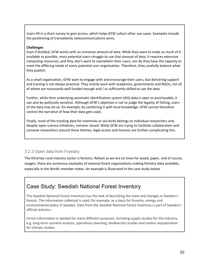Users fill in a short survey to gain access, which helps GFW collect other use cases. Examples include the positioning of transatlantic telecommunications wires.

#### **Challenges**

Even if distilled, GFW works with an immense amount of data. While they want to make as much of it available as possible, most potential users struggle to use that amount of data. It requires extensive computing resources, and they don't want to overwhelm their users, nor do they have the capacity to meet the differing needs of every potential user organisation. Therefore, they carefully balance what they publish.

As a small organisation, GFW want to engage with and encourage their users, but delivering support and training is not always practical. They mainly work with academics, governments and NGOs, not all of whom are necessarily well funded enough and / or sufficiently skilled to use the data.

Further, while their underlying automatic identification system (AIS) data is open or purchasable, it can also be politically sensitive. Although GFW's objective is not to judge the legality of fishing, users of the data may do so, for example, by combining it with local knowledge. GFW cannot therefore control the narrative of how their data gets used.

Finally, most of the tracking data for mammals or sea birds belongs to individual researchers and, despite open science initiatives, remains closed. While GFW are trying to facilitate collaboration and convene researchers around these themes, legal access and licences are further complicating this.

#### <span id="page-18-0"></span>3.2.3 Open data from Forestry

The third key rural industry sector is forestry. Reliant as we are on trees for wood, paper, and of course, oxygen, there are numerous examples of national forest organisations making forestry data available, especially in the Nordic member states. An example is illustrated in the case study below.

# Case Study: Swedish National Forest Inventory

The Swedish National Forest Inventory has the task of describing the state and changes in Sweden's forests. The information collected is used, for example, as a basis for forestry, energy and environmental policy in Sweden. Data from the Swedish National Forest Inventory is part of Sweden's official statistics.

Forest information is needed for many different purposes, including supply studies for the industry, e.g. long-term scenario analysis, operations planning, biodiversity studies and carbon sequestration for climate studies.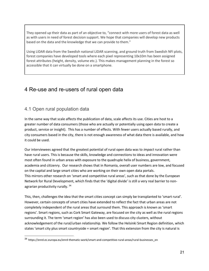They opened up their data as part of an objective to, "connect with more users of forest data as well as with users in need of forest decision support. We hope that companies will develop new products based on the data and the knowledge that we can provide to them."

Using LIDAR data from the Swedish national LIDAR scanning, and ground truth from Swedish NFI plots, forest companies have developed tools where each pixel representing 10x10m has been assigned forest attributes (height, density, volume etc.). This makes management planning in the forest so accessible that it can virtually be done on a smartphone.

# <span id="page-19-0"></span>4 Re-use and re-users of rural open data

## <span id="page-19-1"></span>4.1 Open rural population data

In the same way that scale affects the publication of data, scale affects its use. Cities are host to a greater number of data consumers (those who are actually or potentially using open data to create a product, service or insight). This has a number of effects. With fewer users actually based rurally, and city consumers based in the city, there is not enough awareness of what data there is available, and how it could be used.

Our interviewees agreed that the greatest potential of rural open data was to *impact* rural rather than have rural users. This is because the skills, knowledge and connections to ideas and innovation were most often found in urban areas with exposure to the quadruple helix of business, government, academia and citizenry. Our research shows that in Romania, overall user numbers are low, and focused on the capital and large smart cities who are working on their own open data portals. This mirrors other research on 'smart and competitive rural areas', such as that done by the European Network for Rural Development, which finds that the 'digital divide' is still a very real barrier to nonagrarian productivity rurally. 34

This, then, challenges the idea that the smart cities concept can simply be transplanted to 'smart rural'. However, certain concepts of smart cities have extended to reflect the fact that urban areas are not completely independent of the rural areas that surround them. This approach is known as 'smart regions'. Smart regions, such as Cork Smart Gateway, are focused on the city as well as the rural regions surrounding it. The term 'smart region' has also been used to discuss city clusters, without acknowledgement of the rural/urban relationship. We follow the Helsinki Smart Region definition, which states 'smart city plus smart countryside = smart region'. That this extension from the city is natural is

 <sup>34</sup> https://enrd.ec.europa.eu/enrd-thematic-work/smart-and-competitive-rural-areas/rural-businesses\_en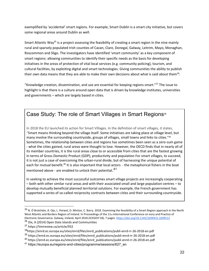exemplified by 'accidental' smart regions. For example, Smart Dublin is a smart city initiative, but covers some regional areas around Dublin as well.

Smart Atlantic Way<sup>35</sup> is a project assessing the feasibility of creating a smart region in the nine mainly rural and sparsely populated Irish counties of Cavan, Clare, Donegal, Galway, Leitrim, Mayo, Monaghan, Roscommon and Sligo. The investigators have identified 'smart community' as a key component of smart regions: allowing communities to identify their specific needs as the basis for developing initiatives in the areas of protection of vital local services (e.g. community policing), tourism, and cultural facilities, by exploiting digital and smart technologies. Giving communities the ability to publish their own data means that they are able to make their own decisions about what is said about them<sup>36</sup>.

"Knowledge creation, dissemination, and use are essential for keeping regions smart."<sup>37</sup> The issue to highlight is that there is a culture around open data that is driven by knowledge institutes, universities and governments  $-$  which are largely based in cities.

# Case Study: The role of Smart Villages in Smart Regions<sup>38</sup>

In 2018 the EU launched its action for Smart Villages. In the definition of smart villages, it states, ͞Smart means thinking beyond the village itself. Some initiatives are taking place at village level, but many involve the surrounding countryside, groups of villages, small towns and links to cities."<sup>39</sup> Sometimes, the relationship between cities and regions has sometimes been seen as a zero-sum game - what the cities gained, rural areas were thought to lose. However, the OECD finds that in nearly all of its member countries, it is the rural areas close to or accessible from cities that are the fastest growing in terms of Gross Domestic Product (GDP), productivity and population For smart villages, to succeed, it is not just a case of overcoming the urban-rural divide, but of harnessing the unique potential of each for mutual benefit.<sup>40</sup> It is also important that local actors - the metaphorical fishers in the boat mentioned above - are enabled to unlock their potential.<sup>41</sup>

In seeking to achieve the most successful outcomes smart village projects are increasingly cooperating - both with other similar rural areas and with their associated small and large population centres - to develop mutually beneficial planned territorial solutions. For example, the French government has supported a series of so-called reciprocity contracts between cities and their surrounding countryside.

 $35$  N. Ó Brolcháin, A. Ojo, L. Porwol, D. Minton, C. Barry. 2018. Examining the feasibility of a Smart Region approach in the North West Atlantic and Borders Region of Ireland. In Proceedings of the 11th International Conference on eory and Practice of Electronic Governance, Galway, Ireland, April 2018 (ICEGOV'18), 7 pages. https://doi.org/10.1145/3209415.3209512

<sup>&</sup>lt;sup>36</sup> Dix, A (2014) Open Data Islands and Communities

<sup>37</sup> https://timreview.ca/article/932

<sup>38</sup>https://enrd.ec.europa.eu/sites/enrd/files/enrd\_publications/publi-enrd-rr-26-2018-en.pdf

<sup>39</sup> https://enrd.ec.europa.eu/sites/enrd/files/enrd publications/publi-enrd-rr-26-2018-en.pdf

<sup>40</sup> https://enrd.ec.europa.eu/sites/enrd/files/enrd\_publications/publi-enrd-rr-26-2018-en.pdf

<sup>41</sup> https://europa.eu/regions-and-cities/programme/sessions/627\_en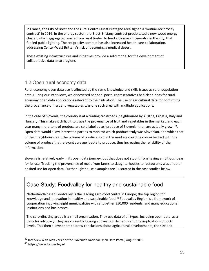in France, the City of Brest and the rural Centre Ouest Bretagne area signed a 'mutual-reciprocity contract' in 2016. In the energy sector, the Brest-Brittany contract precipitated a new wood energy cluster, which aggregated waste from rural timber to feed a biomass incinerator in the city, that fuelled public lighting. The reciprocity contract has also increased health care collaboration, addressing Center-West Brittany's risk of becoming a medical desert.

These existing infrastructures and initiatives provide a solid model for the development of collaborative data smart regions.

## <span id="page-21-0"></span>4.2 Open rural economy data

Rural economy open data use is affected by the same knowledge and skills issues as rural population data. During our interviews, we discovered national portal representatives had clear ideas for rural economy open data applications relevant to their situation. The use of agricultural data for confirming the provenance of fruit and vegetables was one such area with multiple applications.

In the case of Slovenia, the country is at a trading crossroads, neighboured by Austria, Croatia, Italy and Hungary. This makes it difficult to trace the provenance of fruit and vegetables in the market, and each year many more tons of produce are sold labelled as 'produce of Slovenia' than are actually grown<sup>42</sup>. Open data would allow interested parties to monitor which produce truly was Slovenian, and which that of their neighbours, as it the volume of produce sold in the markets could be cross-checked with the volume of produce that relevant acreage is able to produce, thus increasing the reliability of the information.

Slovenia is relatively early in its open data journey, but that does not stop it from having ambitious ideas for its use. Tracking the provenance of meat from farms to slaughterhouses to restaurants was another posited use for open data. Further lighthouse examples are illustrated in the case studies below.

# Case Study: Foodvalley for healthy and sustainable food

Netherlands-based Foodvalley is the leading agro-food centre in Europe; the top region for knowledge and innovation in healthy and sustainable food.<sup>43</sup> Foodvalley Region is a framework of cooperation involving eight municipalities with altogether 350,000 residents, and many educational institutions and businesses.

The co-ordinating group is a small organisation. They use data of all types, including open data, as a basis for advocacy. They are currently looking at livestock demands and the implications on CO2 levels. This then allows them to draw conclusions about agricultural developments, the size and

 <sup>42</sup> Interview with Alex Versic of the Slovenian National Open Data Portal, August 2019

<sup>43</sup> https://www.foodvalley.nl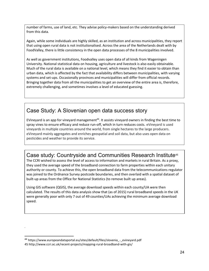number of farms, use of land, etc. They advise policy-makers based on the understanding derived from this data.

Again, while some individuals are highly skilled, as an institution and across municipalities, they report that using open rural data is not institutionalised. Across the area of the Netherlands dealt with by FoodValley, there is little consistency in the open data processes of the 8 municipalities involved.

As well as government institutions, Foodvalley uses open data of all kinds from Wageningen University. National statistical data on housing, agriculture and livestock is also easily obtainable. Much of the rural data is available on a national level, which means they find it easier to obtain than urban data, which is affected by the fact that availability differs between municipalities, with varying systems and set-ups. Occasionally provinces and municipalities will differ from official records. Bringing together data from all the municipalities to get an overview of the entire area is, therefore, extremely challenging, and sometimes involves a level of educated guessing.

# Case Study: A Slovenian open data success story

EVineyard is an app for vineyard management<sup>44</sup>. It assists vineyard owners in finding the best time to spray vines to ensure efficacy and reduce run-off, which in turn reduces costs. eVineyard is used vineyards in multiple countries around the world, from single hectares to the large producers. eVineyard mainly aggregates and enriches geospatial and soil data, but also uses open data on pesticides and weather to provide its service.

# Case study: Countryside and Communities Research Institute45

The CCRI wished to assess the level of access to information and markets in rural Britain. As a proxy, they used the average speed of the broadband connection to farm properties within each unitary authority or county. To achieve this, the open broadband data from the telecommunications regulator was joined to the Ordnance Survey postcode boundaries, and then overlaid with a spatial dataset of built-up areas from the Office for National Statistics (to remove built up areas).

Using GIS software (QGIS), the average download speeds within each county/UA were then calculated. The results of this data analysis show that (as of 2015) rural broadband speeds in the UK were generally poor with only 7 out of 49 counties/UAs achieving the minimum average download speed.

*.*

 <sup>44</sup> https://www.europeandataportal.eu/sites/default/files/slovenia\_-\_evineyard.pdf 45 http://www.ccri.ac.uk/recent-projects/mapping-rural-broadband-with-gis/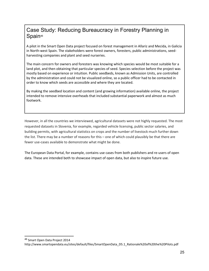# Case Study: Reducing Bureaucracy in Forestry Planning in Spain<sup>46</sup>

A pilot in the Smart Open Data project focused on forest management in Allariz and Mecida, in Galicia in North-west Spain. The stakeholders were forest owners, foresters, public administrations, seedharvesting companies and plant and seed nurseries.

The main concern for owners and foresters was knowing which species would be most suitable for a land plot, and then obtaining that particular species of seed. Species selection before the project was mostly based on experience or intuition. Public seedbeds, known as Admission Units, are controlled by the administration and could not be visualized online, so a public officer had to be contacted in order to know which seeds are accessible and where they are located.

By making the seedbed location and content (and growing information) available online, the project intended to remove intensive overheads that included substantial paperwork and almost as much footwork.

However, in all the countries we interviewed, agricultural datasets were not highly requested. The most requested datasets in Slovenia, for example, regarded vehicle licensing, public sector salaries, and building permits, with agricultural statistics on crops and the number of livestock much further down the list. There may be a number of reasons for this – one of which could plausibly be that there are fewer use-cases available to demonstrate what might be done.

The European Data Portal, for example, contains use cases from both publishers and re-users of open data. These are intended both to showcase impact of open data, but also to inspire future use.

 <sup>46</sup> Smart Open Data Project 2014

http://www.smartopendata.eu/sites/default/files/SmartOpenData\_D5.1\_Rationale%20of%20the%20Pilots.pdf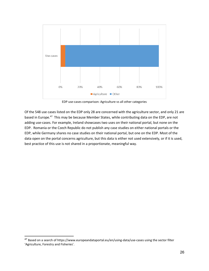

EDP use-cases comparison: Agriculture vs all other categories

Of the 548 use cases listed on the EDP only 28 are concerned with the agriculture sector, and only 21 are based in Europe.<sup>47</sup> This may be because Member States, while contributing data on the EDP, are not adding use-cases. For example, Ireland showcases two uses on their national portal, but none on the EDP. Romania or the Czech Republic do not publish any case studies on either national portals or the EDP, while Germany shares no case studies on their national portal, but one on the EDP. Most of the data open on the portal concerns agriculture, but this data is either not used extensively, or if it is used, best practice of this use is not shared in a proportionate, meaningful way.

 <sup>47</sup> Based on a search of https://www.europeandataportal.eu/en/using-data/use-cases using the sector filter 'Agriculture, Forestry and Fisheries'.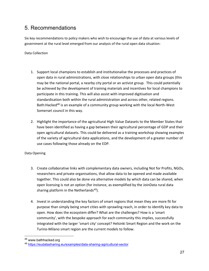# <span id="page-25-0"></span>5. Recommendations

Six key recommendations to policy makers who wish to encourage the use of data at various levels of government at the rural level emerged from our analysis of the rural open data situation:

Data Collection

- 1. Support local champions to establish and institutionalise the processes and practices of open data in rural administrations, with close relationships to urban open data groups (this may be the national portal, a nearby city portal or an activist group. This could potentially be achieved by the development of training materials and incentives for local champions to participate in this training. This will also assist with improved digitisation and standardisation both within the rural administration and across other, related regions. Bath:Hacked<sup>48</sup> is an example of a community group working with the local North-West Somerset council in this way.
- 2. Highlight the importance of the agricultural High Value Datasets to the Member States that have been identified as having a gap between their agricultural percentage of GDP and their open agricultural datasets. This could be delivered as a training workshop showing examples of the variety of agricultural data applications, and the development of a greater number of use cases following those already on the EDP.

## Data Opening

- 3. Create collaborative links with complementary data owners, including Not for Profits, NGOs, researchers and private organisations, that allow data to be opened and made available together. This could also be done via alternative models by which data can be shared, when open licensing is not an option (for instance, as exemplified by the JoinData rural data sharing platform in the Netherlands<sup>49</sup>).
- 4. Invest in understanding the key factors of smart regions that mean they are more fit for purpose than simply being smart cities with sprawling reach, in order to identify key data to open. How does the ecosystem differ? What are the challenges? How is a 'smart community', with the bespoke approach for each community this implies, successfully integrated with the larger 'smart city' concept? Helsinki Smart Region and the work on the Turino-Milano smart region are the current models to follow.

 <sup>48</sup> www.bathhacked.org

<sup>49</sup> <https://eudatasharing.eu/examples/data-sharing-agricultural-sector>